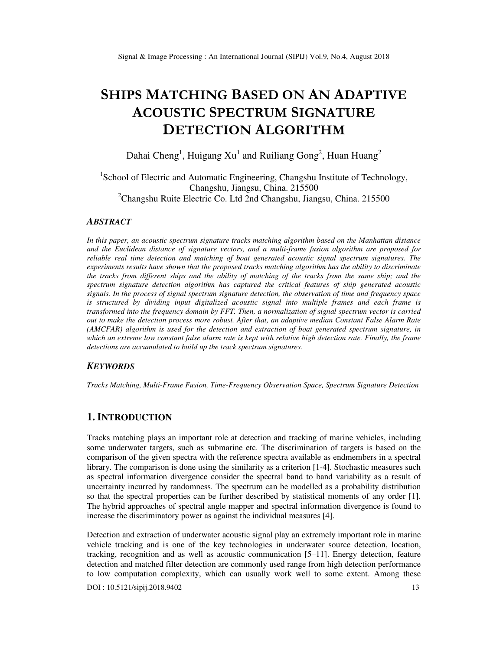# **SHIPS MATCHING BASED ON AN ADAPTIVE ACOUSTIC SPECTRUM SIGNATURE DETECTION ALGORITHM**

Dahai Cheng<sup>1</sup>, Huigang Xu<sup>1</sup> and Ruiliang Gong<sup>2</sup>, Huan Huang<sup>2</sup>

<sup>1</sup>School of Electric and Automatic Engineering, Changshu Institute of Technology, Changshu, Jiangsu, China. 215500  ${}^{2}$ Changshu Ruite Electric Co. Ltd 2nd Changshu, Jiangsu, China. 215500

#### *ABSTRACT*

*In this paper, an acoustic spectrum signature tracks matching algorithm based on the Manhattan distance and the Euclidean distance of signature vectors, and a multi-frame fusion algorithm are proposed for reliable real time detection and matching of boat generated acoustic signal spectrum signatures. The experiments results have shown that the proposed tracks matching algorithm has the ability to discriminate the tracks from different ships and the ability of matching of the tracks from the same ship; and the spectrum signature detection algorithm has captured the critical features of ship generated acoustic signals. In the process of signal spectrum signature detection, the observation of time and frequency space is structured by dividing input digitalized acoustic signal into multiple frames and each frame is transformed into the frequency domain by FFT. Then, a normalization of signal spectrum vector is carried out to make the detection process more robust. After that, an adaptive median Constant False Alarm Rate (AMCFAR) algorithm is used for the detection and extraction of boat generated spectrum signature, in which an extreme low constant false alarm rate is kept with relative high detection rate. Finally, the frame detections are accumulated to build up the track spectrum signatures.* 

#### *KEYWORDS*

*Tracks Matching, Multi-Frame Fusion, Time-Frequency Observation Space, Spectrum Signature Detection* 

# **1. INTRODUCTION**

Tracks matching plays an important role at detection and tracking of marine vehicles, including some underwater targets, such as submarine etc. The discrimination of targets is based on the comparison of the given spectra with the reference spectra available as endmembers in a spectral library. The comparison is done using the similarity as a criterion [1-4]. Stochastic measures such as spectral information divergence consider the spectral band to band variability as a result of uncertainty incurred by randomness. The spectrum can be modelled as a probability distribution so that the spectral properties can be further described by statistical moments of any order [1]. The hybrid approaches of spectral angle mapper and spectral information divergence is found to increase the discriminatory power as against the individual measures [4].

Detection and extraction of underwater acoustic signal play an extremely important role in marine vehicle tracking and is one of the key technologies in underwater source detection, location, tracking, recognition and as well as acoustic communication [5–11]. Energy detection, feature detection and matched filter detection are commonly used range from high detection performance to low computation complexity, which can usually work well to some extent. Among these

DOI : 10.5121/sipij.2018.9402 13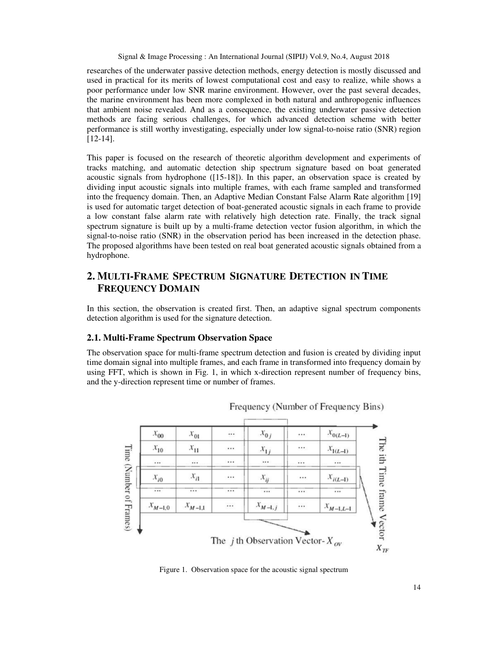researches of the underwater passive detection methods, energy detection is mostly discussed and used in practical for its merits of lowest computational cost and easy to realize, while shows a poor performance under low SNR marine environment. However, over the past several decades, the marine environment has been more complexed in both natural and anthropogenic influences that ambient noise revealed. And as a consequence, the existing underwater passive detection methods are facing serious challenges, for which advanced detection scheme with better performance is still worthy investigating, especially under low signal-to-noise ratio (SNR) region [12-14].

This paper is focused on the research of theoretic algorithm development and experiments of tracks matching, and automatic detection ship spectrum signature based on boat generated acoustic signals from hydrophone ([15-18]). In this paper, an observation space is created by dividing input acoustic signals into multiple frames, with each frame sampled and transformed into the frequency domain. Then, an Adaptive Median Constant False Alarm Rate algorithm [19] is used for automatic target detection of boat-generated acoustic signals in each frame to provide a low constant false alarm rate with relatively high detection rate. Finally, the track signal spectrum signature is built up by a multi-frame detection vector fusion algorithm, in which the signal-to-noise ratio (SNR) in the observation period has been increased in the detection phase. The proposed algorithms have been tested on real boat generated acoustic signals obtained from a hydrophone.

# **2. MULTI-FRAME SPECTRUM SIGNATURE DETECTION IN TIME FREQUENCY DOMAIN**

In this section, the observation is created first. Then, an adaptive signal spectrum components detection algorithm is used for the signature detection.

#### **2.1. Multi-Frame Spectrum Observation Space**

The observation space for multi-frame spectrum detection and fusion is created by dividing input time domain signal into multiple frames, and each frame in transformed into frequency domain by using FFT, which is shown in Fig. 1, in which x-direction represent number of frequency bins, and the y-direction represent time or number of frames.



Frequency (Number of Frequency Bins)

Figure 1. Observation space for the acoustic signal spectrum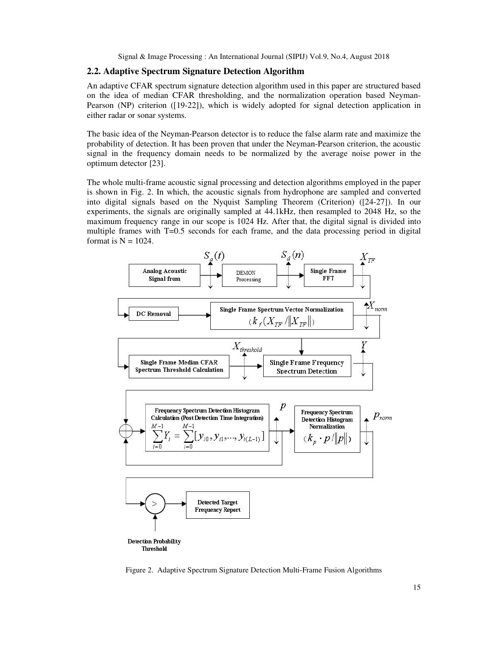#### **2.2. Adaptive Spectrum Signature Detection Algorithm**

An adaptive CFAR spectrum signature detection algorithm used in this paper are structured based on the idea of median CFAR thresholding, and the normalization operation based Neyman-Pearson (NP) criterion ([19-22]), which is widely adopted for signal detection application in either radar or sonar systems.

The basic idea of the Neyman-Pearson detector is to reduce the false alarm rate and maximize the probability of detection. It has been proven that under the Neyman-Pearson criterion, the acoustic signal in the frequency domain needs to be normalized by the average noise power in the optimum detector [23].

The whole multi-frame acoustic signal processing and detection algorithms employed in the paper is shown in Fig. 2. In which, the acoustic signals from hydrophone are sampled and converted into digital signals based on the Nyquist Sampling Theorem (Criterion) ([24-27]). In our experiments, the signals are originally sampled at 44.1kHz, then resampled to 2048 Hz, so the maximum frequency range in our scope is 1024 Hz. After that, the digital signal is divided into multiple frames with  $T=0.5$  seconds for each frame, and the data processing period in digital format is  $N = 1024$ .



Figure 2. Adaptive Spectrum Signature Detection Multi-Frame Fusion Algorithms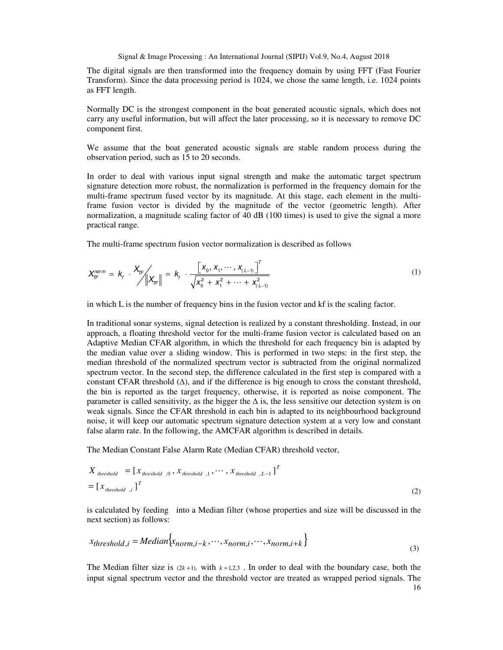The digital signals are then transformed into the frequency domain by using FFT (Fast Fourier Transform). Since the data processing period is 1024, we chose the same length, i.e. 1024 points as FFT length.

Normally DC is the strongest component in the boat generated acoustic signals, which does not carry any useful information, but will affect the later processing, so it is necessary to remove DC component first.

We assume that the boat generated acoustic signals are stable random process during the observation period, such as 15 to 20 seconds.

In order to deal with various input signal strength and make the automatic target spectrum signature detection more robust, the normalization is performed in the frequency domain for the multi-frame spectrum fused vector by its magnitude. At this stage, each element in the multiframe fusion vector is divided by the magnitude of the vector (geometric length). After normalization, a magnitude scaling factor of 40 dB (100 times) is used to give the signal a more practical range.

The multi-frame spectrum fusion vector normalization is described as follows

$$
X_{\overline{F}}^{\text{norm}} = k_{f} \cdot \frac{X_{\overline{F}}}{\sqrt{\left\|X_{\overline{F}}\right\|}} = k_{f} \cdot \frac{\left[x_{0}, x_{1}, \cdots, x_{(L-1)}\right]^{T}}{\sqrt{x_{0}^{2} + x_{1}^{2} + \cdots + x_{(L-1)}^{2}}}
$$
(1)

in which L is the number of frequency bins in the fusion vector and kf is the scaling factor.

In traditional sonar systems, signal detection is realized by a constant thresholding. Instead, in our approach, a floating threshold vector for the multi-frame fusion vector is calculated based on an Adaptive Median CFAR algorithm, in which the threshold for each frequency bin is adapted by the median value over a sliding window. This is performed in two steps: in the first step, the median threshold of the normalized spectrum vector is subtracted from the original normalized spectrum vector. In the second step, the difference calculated in the first step is compared with a constant CFAR threshold  $(\Delta)$ , and if the difference is big enough to cross the constant threshold, the bin is reported as the target frequency, otherwise, it is reported as noise component. The parameter is called sensitivity, as the bigger the  $\Delta$  is, the less sensitive our detection system is on weak signals. Since the CFAR threshold in each bin is adapted to its neighbourhood background noise, it will keep our automatic spectrum signature detection system at a very low and constant false alarm rate. In the following, the AMCFAR algorithm is described in details.

The Median Constant False Alarm Rate (Median CFAR) threshold vector,

$$
X_{threshold} = [x_{threshold}, 0, x_{threshold,1}, \dots, x_{threshold, L-1}]^{T}
$$
  
= 
$$
[x_{threshold, i}]^{T}
$$
 (2)

is calculated by feeding into a Median filter (whose properties and size will be discussed in the next section) as follows:

$$
x_{threshold,i} = Median\{x_{norm,i-k}, \cdots, x_{norm,i}, \cdots, x_{norm,i+k}\}
$$
\n(3)

16 The Median filter size is  $(2k+1)$ , with  $k=1,2,3$ . In order to deal with the boundary case, both the input signal spectrum vector and the threshold vector are treated as wrapped period signals. The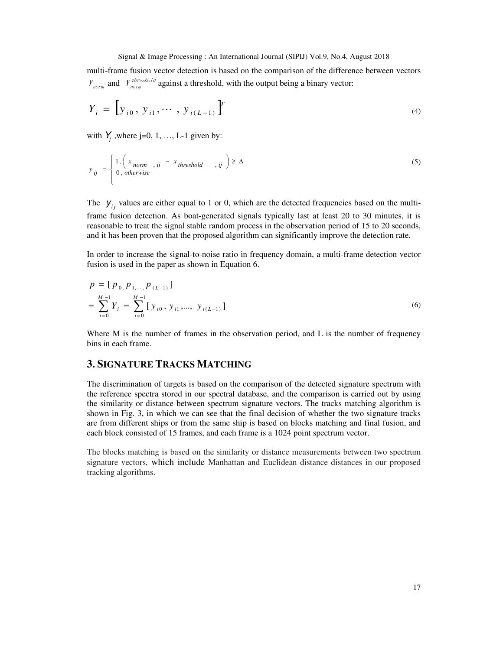multi-frame fusion vector detection is based on the comparison of the difference between vectors  $Y_{norm}$  and  $Y_{norm}^{threshold}$  against a threshold, with the output being a binary vector:

$$
Y_i = [y_{i0}, y_{i1}, \cdots, y_{i(L-1)}]^T
$$
 (4)

with  $Y_i$ , where j=0, 1, ..., L-1 given by:

$$
y_{ij} = \begin{cases} 1, \left( x_{norm} , ij \right) - x_{threshold} , & \text{if } j \ge \Delta \\ 0, otherwise \end{cases}
$$
 (5)

The  $y_{ii}$  values are either equal to 1 or 0, which are the detected frequencies based on the multiframe fusion detection. As boat-generated signals typically last at least 20 to 30 minutes, it is reasonable to treat the signal stable random process in the observation period of 15 to 20 seconds, and it has been proven that the proposed algorithm can significantly improve the detection rate.

In order to increase the signal-to-noise ratio in frequency domain, a multi-frame detection vector fusion is used in the paper as shown in Equation 6.

$$
p = [p_0, p_{1,\dots}, p_{(L-1)}]
$$
  
= 
$$
\sum_{i=0}^{M-1} Y_i = \sum_{i=0}^{M-1} [y_{i0}, y_{i1}, \dots, y_{i(L-1)}]
$$
 (6)

Where M is the number of frames in the observation period, and L is the number of frequency bins in each frame.

#### **3. SIGNATURE TRACKS MATCHING**

The discrimination of targets is based on the comparison of the detected signature spectrum with the reference spectra stored in our spectral database, and the comparison is carried out by using the similarity or distance between spectrum signature vectors. The tracks matching algorithm is shown in Fig. 3, in which we can see that the final decision of whether the two signature tracks are from different ships or from the same ship is based on blocks matching and final fusion, and each block consisted of 15 frames, and each frame is a 1024 point spectrum vector.

The blocks matching is based on the similarity or distance measurements between two spectrum signature vectors, which include Manhattan and Euclidean distance distances in our proposed tracking algorithms.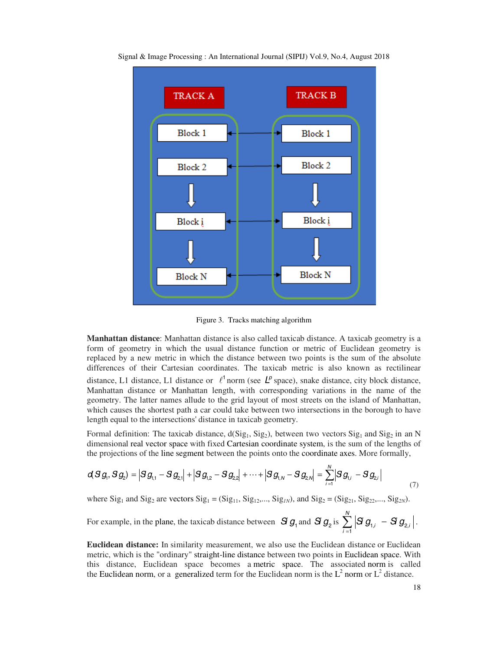

Signal & Image Processing : An International Journal (SIPIJ) Vol.9, No.4, August 2018

Figure 3. Tracks matching algorithm

**Manhattan distance**: Manhattan distance is also called taxicab distance. A taxicab geometry is a form of geometry in which the usual distance function or metric of Euclidean geometry is replaced by a new metric in which the distance between two points is the sum of the absolute differences of their Cartesian coordinates. The taxicab metric is also known as rectilinear distance, L1 distance, L1 distance or  $\ell^1$  norm (see  $\ell^p$  space), snake distance, city block distance, Manhattan distance or Manhattan length, with corresponding variations in the name of the geometry. The latter names allude to the grid layout of most streets on the island of Manhattan, which causes the shortest path a car could take between two intersections in the borough to have length equal to the intersections' distance in taxicab geometry.

Formal definition: The taxicab distance,  $d(Sig_1, Sig_2)$ , between two vectors  $Sig_1$  and  $Sig_2$  in an N dimensional real vector space with fixed Cartesian coordinate system, is the sum of the lengths of the projections of the line segment between the points onto the coordinate axes. More formally,

$$
d(Sg_{1}, Sg_{2}) = |Sg_{1,1} - Sg_{2,1}| + |Sg_{1,2} - Sg_{2,2}| + \cdots + |Sg_{1,N} - Sg_{2,N}| = \sum_{i=1}^{N} |Sg_{1,i} - Sg_{2,i}|
$$
\n(7)

where  $\text{Sig}_1$  and  $\text{Sig}_2$  are vectors  $\text{Sig}_1 = (\text{Sig}_{11}, \text{Sig}_{12}, \ldots, \text{Sig}_{1N})$ , and  $\text{Sig}_2 = (\text{Sig}_{21}, \text{Sig}_{22}, \ldots, \text{Sig}_{2N})$ .

For example, in the plane, the taxicab distance between  $Sg_1$  and  $Sg_2$  is  $\sum_{i=1}^{\infty} |Sg_{1,i} - Sg_{2,i}|$ N  $\sum_{i=1}^{\infty}$  |  $\sum_{i=1}^{\infty}$   $\sum_{i=1}^{\infty}$   $\sum_{i=1}^{\infty}$  $Sg_{\scriptscriptstyle (i)}-Sg$  $\sum_{j=1}^{\infty}\left|\boldsymbol{S}\,\boldsymbol{g}_{1,j}\right|-\boldsymbol{S}\,\boldsymbol{g}_{2,j}\,\right|.$ 

**Euclidean distance:** In similarity measurement, we also use the Euclidean distance or Euclidean metric, which is the "ordinary" straight-line distance between two points in Euclidean space. With this distance, Euclidean space becomes a metric space. The associated norm is called the Euclidean norm, or a generalized term for the Euclidean norm is the  $L^2$  norm or  $L^2$  distance.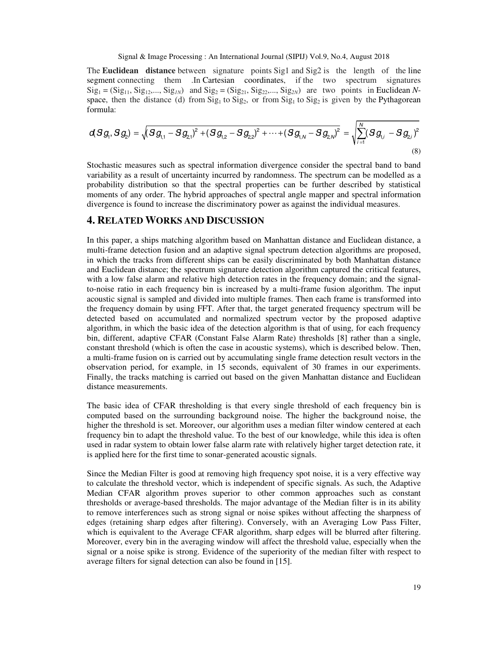The **Euclidean distance** between signature points Sig1 and Sig2 is the length of the line segment connecting them .In Cartesian coordinates, if the two spectrum signatures  $Sig_1 = (Sig_{11}, Sig_{12},..., Sig_{1N})$  and  $Sig_2 = (Sig_{21}, Sig_{22},..., Sig_{2N})$  are two points in Euclidean *N*space, then the distance (d) from  $Sig_1$  to  $Sig_2$ , or from  $Sig_1$  to  $Sig_2$  is given by the Pythagorean formula:

$$
d(Sg_{1},Sg_{2}) = \sqrt{(Sg_{1,1} - Sg_{2,1})^{2} + (Sg_{1,2} - Sg_{2,2})^{2} + \dots + (Sg_{1,N} - Sg_{2,N})^{2}} = \sqrt{\sum_{i=1}^{N} (Sg_{1,i} - Sg_{2,i})^{2}}
$$
\n(8)

Stochastic measures such as spectral information divergence consider the spectral band to band variability as a result of uncertainty incurred by randomness. The spectrum can be modelled as a probability distribution so that the spectral properties can be further described by statistical moments of any order. The hybrid approaches of spectral angle mapper and spectral information divergence is found to increase the discriminatory power as against the individual measures.

## **4. RELATED WORKS AND DISCUSSION**

In this paper, a ships matching algorithm based on Manhattan distance and Euclidean distance, a multi-frame detection fusion and an adaptive signal spectrum detection algorithms are proposed, in which the tracks from different ships can be easily discriminated by both Manhattan distance and Euclidean distance; the spectrum signature detection algorithm captured the critical features, with a low false alarm and relative high detection rates in the frequency domain; and the signalto-noise ratio in each frequency bin is increased by a multi-frame fusion algorithm. The input acoustic signal is sampled and divided into multiple frames. Then each frame is transformed into the frequency domain by using FFT. After that, the target generated frequency spectrum will be detected based on accumulated and normalized spectrum vector by the proposed adaptive algorithm, in which the basic idea of the detection algorithm is that of using, for each frequency bin, different, adaptive CFAR (Constant False Alarm Rate) thresholds [8] rather than a single, constant threshold (which is often the case in acoustic systems), which is described below. Then, a multi-frame fusion on is carried out by accumulating single frame detection result vectors in the observation period, for example, in 15 seconds, equivalent of 30 frames in our experiments. Finally, the tracks matching is carried out based on the given Manhattan distance and Euclidean distance measurements.

The basic idea of CFAR thresholding is that every single threshold of each frequency bin is computed based on the surrounding background noise. The higher the background noise, the higher the threshold is set. Moreover, our algorithm uses a median filter window centered at each frequency bin to adapt the threshold value. To the best of our knowledge, while this idea is often used in radar system to obtain lower false alarm rate with relatively higher target detection rate, it is applied here for the first time to sonar-generated acoustic signals.

Since the Median Filter is good at removing high frequency spot noise, it is a very effective way to calculate the threshold vector, which is independent of specific signals. As such, the Adaptive Median CFAR algorithm proves superior to other common approaches such as constant thresholds or average-based thresholds. The major advantage of the Median filter is in its ability to remove interferences such as strong signal or noise spikes without affecting the sharpness of edges (retaining sharp edges after filtering). Conversely, with an Averaging Low Pass Filter, which is equivalent to the Average CFAR algorithm, sharp edges will be blurred after filtering. Moreover, every bin in the averaging window will affect the threshold value, especially when the signal or a noise spike is strong. Evidence of the superiority of the median filter with respect to average filters for signal detection can also be found in [15].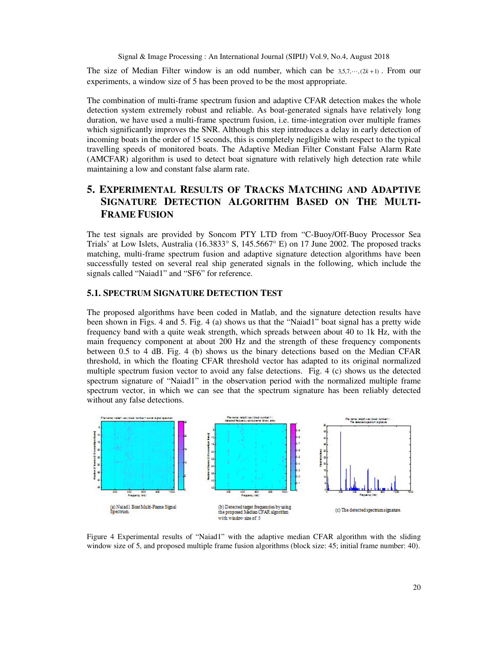The size of Median Filter window is an odd number, which can be  $3,5,7,\dots,(2k+1)$ . From our experiments, a window size of 5 has been proved to be the most appropriate.

The combination of multi-frame spectrum fusion and adaptive CFAR detection makes the whole detection system extremely robust and reliable. As boat-generated signals have relatively long duration, we have used a multi-frame spectrum fusion, i.e. time-integration over multiple frames which significantly improves the SNR. Although this step introduces a delay in early detection of incoming boats in the order of 15 seconds, this is completely negligible with respect to the typical travelling speeds of monitored boats. The Adaptive Median Filter Constant False Alarm Rate (AMCFAR) algorithm is used to detect boat signature with relatively high detection rate while maintaining a low and constant false alarm rate.

# **5. EXPERIMENTAL RESULTS OF TRACKS MATCHING AND ADAPTIVE SIGNATURE DETECTION ALGORITHM BASED ON THE MULTI-FRAME FUSION**

The test signals are provided by Soncom PTY LTD from "C-Buoy/Off-Buoy Processor Sea Trials' at Low Islets, Australia (16.3833° S, 145.5667° E) on 17 June 2002. The proposed tracks matching, multi-frame spectrum fusion and adaptive signature detection algorithms have been successfully tested on several real ship generated signals in the following, which include the signals called "Naiad1" and "SF6" for reference.

## **5.1. SPECTRUM SIGNATURE DETECTION TEST**

The proposed algorithms have been coded in Matlab, and the signature detection results have been shown in Figs. 4 and 5. Fig. 4 (a) shows us that the "Naiad1" boat signal has a pretty wide frequency band with a quite weak strength, which spreads between about 40 to 1k Hz, with the main frequency component at about 200 Hz and the strength of these frequency components between 0.5 to 4 dB. Fig. 4 (b) shows us the binary detections based on the Median CFAR threshold, in which the floating CFAR threshold vector has adapted to its original normalized multiple spectrum fusion vector to avoid any false detections. Fig. 4 (c) shows us the detected spectrum signature of "Naiad1" in the observation period with the normalized multiple frame spectrum vector, in which we can see that the spectrum signature has been reliably detected without any false detections.



Figure 4 Experimental results of "Naiad1" with the adaptive median CFAR algorithm with the sliding window size of 5, and proposed multiple frame fusion algorithms (block size: 45; initial frame number: 40).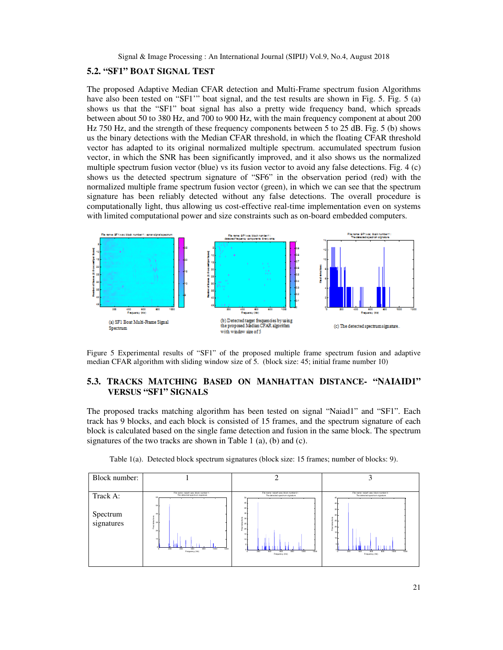#### **5.2. "SF1" BOAT SIGNAL TEST**

The proposed Adaptive Median CFAR detection and Multi-Frame spectrum fusion Algorithms have also been tested on "SF1" boat signal, and the test results are shown in Fig. 5. Fig. 5 (a) shows us that the "SF1" boat signal has also a pretty wide frequency band, which spreads between about 50 to 380 Hz, and 700 to 900 Hz, with the main frequency component at about 200 Hz 750 Hz, and the strength of these frequency components between 5 to 25 dB. Fig. 5 (b) shows us the binary detections with the Median CFAR threshold, in which the floating CFAR threshold vector has adapted to its original normalized multiple spectrum. accumulated spectrum fusion vector, in which the SNR has been significantly improved, and it also shows us the normalized multiple spectrum fusion vector (blue) vs its fusion vector to avoid any false detections. Fig. 4 (c) shows us the detected spectrum signature of "SF6" in the observation period (red) with the normalized multiple frame spectrum fusion vector (green), in which we can see that the spectrum signature has been reliably detected without any false detections. The overall procedure is computationally light, thus allowing us cost-effective real-time implementation even on systems with limited computational power and size constraints such as on-board embedded computers.



Figure 5 Experimental results of "SF1" of the proposed multiple frame spectrum fusion and adaptive median CFAR algorithm with sliding window size of 5. (block size: 45; initial frame number 10)

#### **5.3. TRACKS MATCHING BASED ON MANHATTAN DISTANCE- "NAIAID1" VERSUS "SF1" SIGNALS**

The proposed tracks matching algorithm has been tested on signal "Naiad1" and "SF1". Each track has 9 blocks, and each block is consisted of 15 frames, and the spectrum signature of each block is calculated based on the single fame detection and fusion in the same block. The spectrum signatures of the two tracks are shown in Table 1 (a), (b) and (c).



Table 1(a). Detected block spectrum signatures (block size: 15 frames; number of blocks: 9).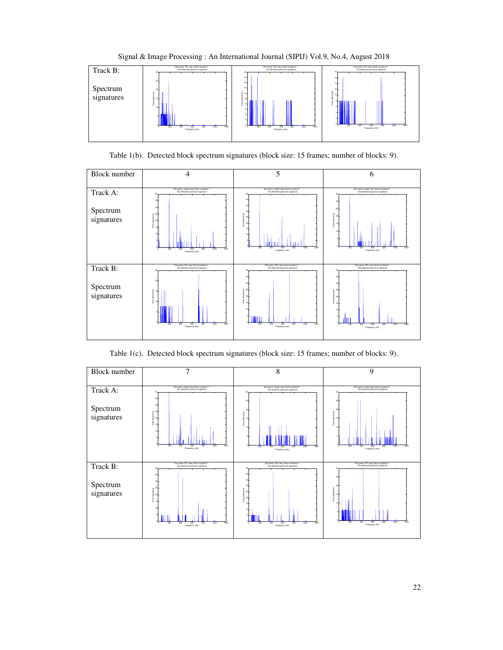| Track B:               | File name: SF1.way, block number:1:                                    | File name: SF1.way, block number:2 :                                                 | File name: SF1.way: block number:3 :                                                                                           |  |  |
|------------------------|------------------------------------------------------------------------|--------------------------------------------------------------------------------------|--------------------------------------------------------------------------------------------------------------------------------|--|--|
|                        | The detected spectrum signature                                        | The detected spectrum signature                                                      | The detected spectrum signature                                                                                                |  |  |
| Spectrum<br>signatures | 25<br>20<br>1200<br>200<br>600<br>800<br>1000<br>400<br>Frequency (Hz) | $-12$<br>۰<br>÷.<br>10<br>1200<br>800<br>1000<br>200<br>600<br>400<br>Frequency (Hz) | 16<br>14 <sub>1</sub><br>12 <sub>1</sub><br>s<br>10 <sub>1</sub><br>200<br>400<br>600<br>800<br>1000<br>1200<br>Frequency (Hz) |  |  |

Signal & Image Processing : An International Journal (SIPIJ) Vol.9, No.4, August 2018

Table 1(b). Detected block spectrum signatures (block size: 15 frames; number of blocks: 9).



Table 1(c). Detected block spectrum signatures (block size: 15 frames; number of blocks: 9).

| Block number                       | $\overline{ }$                                                                                                                                                                                       | 8                                                                                                                                                                           | 9                                                                                                                                                            |  |  |
|------------------------------------|------------------------------------------------------------------------------------------------------------------------------------------------------------------------------------------------------|-----------------------------------------------------------------------------------------------------------------------------------------------------------------------------|--------------------------------------------------------------------------------------------------------------------------------------------------------------|--|--|
| Track A:<br>Spectrum<br>signatures | File name: naiad1.way. block number:7 :<br>The detected spectrum signature<br>35<br>30<br>Find detection<br>Find detection<br>15<br>10<br>200<br>400<br>600<br>800<br>1000<br>1200<br>Frequency (Hz) | File name: najad1.way. block_number.8 :<br>The detected spectrum signature<br>25<br>20<br>盛<br>s.<br>$\frac{60}{9}$ 15<br>E<br>1200<br>200<br>800<br>1000<br>Frequency (Hz) | File name: najad1.way: block number:9 :<br>The detected spectrum signature<br>š<br>u<br>š<br>×<br>400<br>200<br>800<br>1000<br>600<br>1200<br>Frequency (Hz) |  |  |
| Track B:<br>Spectrum<br>signatures | File name: SF1.wax, block number:7:<br>The detected spectrum signature<br>35<br>30<br>Final detections<br>the 23<br>of 26<br>200<br>600<br>1000<br>1200<br>400<br>800<br>Frequency (Hz)              | File name: SF1.way. block number.8 :<br>The detected spectrum signature<br>25<br>20<br><b>P</b><br>400<br>600<br>800<br>1000<br>1200<br>200<br>Frequency (Hz)               | File name: SF1.way, block number 9 :<br>The detected spectrum signature<br>detectors<br>ŧ<br>600<br>1000<br>800<br>1200<br>200<br>400<br>Frequency (Hz)      |  |  |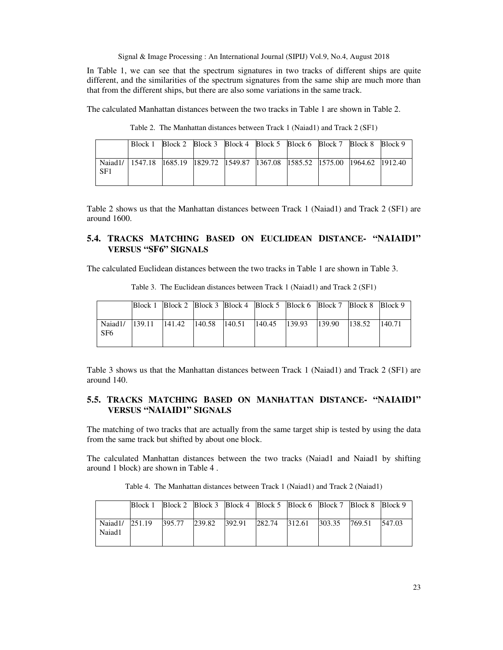In Table 1, we can see that the spectrum signatures in two tracks of different ships are quite different, and the similarities of the spectrum signatures from the same ship are much more than that from the different ships, but there are also some variations in the same track.

The calculated Manhattan distances between the two tracks in Table 1 are shown in Table 2.

|     | Block 1 Block 2 Block 3 Block 4 Block 5 Block 6 Block 7 Block 8 Block 9         |  |  |  |  |
|-----|---------------------------------------------------------------------------------|--|--|--|--|
| SF1 | Naiad1/ 1547.18 1685.19 1829.72 1549.87 1367.08 1585.52 1575.00 1964.62 1912.40 |  |  |  |  |
|     |                                                                                 |  |  |  |  |

Table 2. The Manhattan distances between Track 1 (Naiad1) and Track 2 (SF1)

Table 2 shows us that the Manhattan distances between Track 1 (Naiad1) and Track 2 (SF1) are around 1600.

#### **5.4. TRACKS MATCHING BASED ON EUCLIDEAN DISTANCE- "NAIAID1" VERSUS "SF6" SIGNALS**

The calculated Euclidean distances between the two tracks in Table 1 are shown in Table 3.

|                            | Block 1 |                          |  |        |        |        | Block 2 Block 3 Block 4 Block 5 Block 6 Block 7 Block 8 Block 9 |        |
|----------------------------|---------|--------------------------|--|--------|--------|--------|-----------------------------------------------------------------|--------|
| Naiad1/<br>SF <sub>6</sub> | 139.11  | 141.42   140.58   140.51 |  | 140.45 | 139.93 | 139.90 | 138.52                                                          | 140.71 |

Table 3. The Euclidean distances between Track 1 (Naiad1) and Track 2 (SF1)

Table 3 shows us that the Manhattan distances between Track 1 (Naiad1) and Track 2 (SF1) are around 140.

## **5.5. TRACKS MATCHING BASED ON MANHATTAN DISTANCE- "NAIAID1" VERSUS "NAIAID1" SIGNALS**

The matching of two tracks that are actually from the same target ship is tested by using the data from the same track but shifted by about one block.

The calculated Manhattan distances between the two tracks (Naiad1 and Naiad1 by shifting around 1 block) are shown in Table 4 .

Table 4. The Manhattan distances between Track 1 (Naiad1) and Track 2 (Naiad1)

|                   | Block 1    |        |        |        |        |        | Block 2 Block 3 Block 4 Block 5 Block 6 Block 7 Block 8 Block 9 |        |        |
|-------------------|------------|--------|--------|--------|--------|--------|-----------------------------------------------------------------|--------|--------|
| Naiad1/<br>Naiad1 | $'$ 251.19 | 395.77 | 239.82 | 392.91 | 282.74 | 312.61 | 303.35                                                          | 769.51 | 547.03 |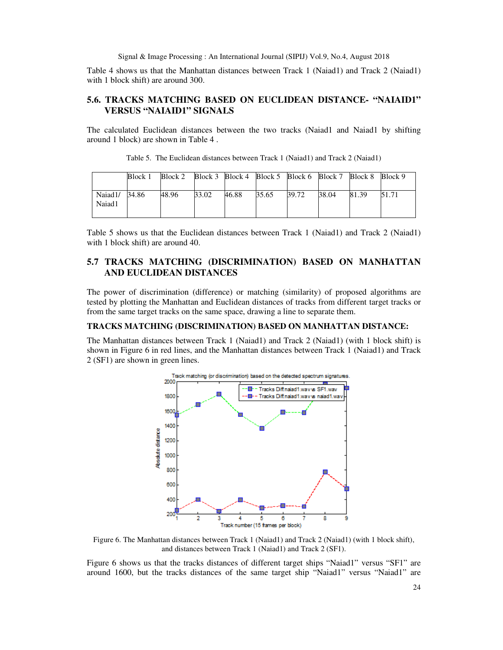Table 4 shows us that the Manhattan distances between Track 1 (Naiad1) and Track 2 (Naiad1) with 1 block shift) are around 300.

## **5.6. TRACKS MATCHING BASED ON EUCLIDEAN DISTANCE- "NAIAID1" VERSUS "NAIAID1" SIGNALS**

The calculated Euclidean distances between the two tracks (Naiad1 and Naiad1 by shifting around 1 block) are shown in Table 4 .

|                   | Block 1 | Block 2 Block 3 Block 4 Block 5 Block 6 Block 7 Block 8 Block 9 |       |       |       |       |       |       |       |
|-------------------|---------|-----------------------------------------------------------------|-------|-------|-------|-------|-------|-------|-------|
| Naiad1/<br>Naiad1 | 34.86   | 48.96                                                           | 33.02 | 46.88 | 35.65 | 39.72 | 38.04 | 81.39 | 51.71 |

Table 5. The Euclidean distances between Track 1 (Naiad1) and Track 2 (Naiad1)

Table 5 shows us that the Euclidean distances between Track 1 (Naiad1) and Track 2 (Naiad1) with 1 block shift) are around 40.

# **5.7 TRACKS MATCHING (DISCRIMINATION) BASED ON MANHATTAN AND EUCLIDEAN DISTANCES**

The power of discrimination (difference) or matching (similarity) of proposed algorithms are tested by plotting the Manhattan and Euclidean distances of tracks from different target tracks or from the same target tracks on the same space, drawing a line to separate them.

#### **TRACKS MATCHING (DISCRIMINATION) BASED ON MANHATTAN DISTANCE:**

The Manhattan distances between Track 1 (Naiad1) and Track 2 (Naiad1) (with 1 block shift) is shown in Figure 6 in red lines, and the Manhattan distances between Track 1 (Naiad1) and Track 2 (SF1) are shown in green lines.



Figure 6. The Manhattan distances between Track 1 (Naiad1) and Track 2 (Naiad1) (with 1 block shift), and distances between Track 1 (Naiad1) and Track 2 (SF1).

Figure 6 shows us that the tracks distances of different target ships "Naiad1" versus "SF1" are around 1600, but the tracks distances of the same target ship "Naiad1" versus "Naiad1" are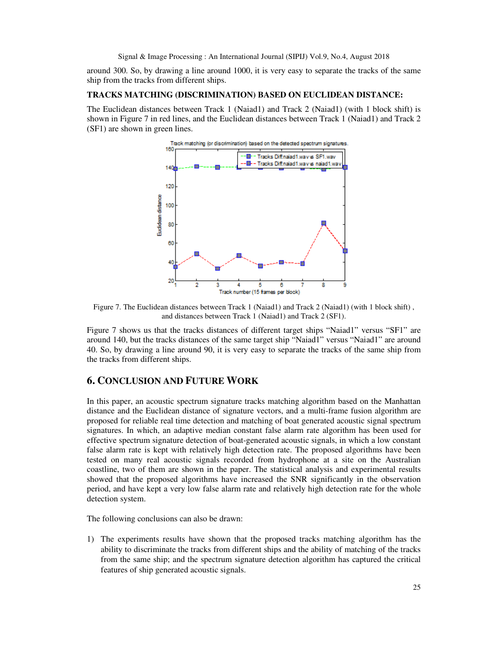around 300. So, by drawing a line around 1000, it is very easy to separate the tracks of the same ship from the tracks from different ships.

#### **TRACKS MATCHING (DISCRIMINATION) BASED ON EUCLIDEAN DISTANCE:**

The Euclidean distances between Track 1 (Naiad1) and Track 2 (Naiad1) (with 1 block shift) is shown in Figure 7 in red lines, and the Euclidean distances between Track 1 (Naiad1) and Track 2 (SF1) are shown in green lines.



Figure 7. The Euclidean distances between Track 1 (Naiad1) and Track 2 (Naiad1) (with 1 block shift), and distances between Track 1 (Naiad1) and Track 2 (SF1).

Figure 7 shows us that the tracks distances of different target ships "Naiad1" versus "SF1" are around 140, but the tracks distances of the same target ship "Naiad1" versus "Naiad1" are around 40. So, by drawing a line around 90, it is very easy to separate the tracks of the same ship from the tracks from different ships.

## **6. CONCLUSION AND FUTURE WORK**

In this paper, an acoustic spectrum signature tracks matching algorithm based on the Manhattan distance and the Euclidean distance of signature vectors, and a multi-frame fusion algorithm are proposed for reliable real time detection and matching of boat generated acoustic signal spectrum signatures. In which, an adaptive median constant false alarm rate algorithm has been used for effective spectrum signature detection of boat-generated acoustic signals, in which a low constant false alarm rate is kept with relatively high detection rate. The proposed algorithms have been tested on many real acoustic signals recorded from hydrophone at a site on the Australian coastline, two of them are shown in the paper. The statistical analysis and experimental results showed that the proposed algorithms have increased the SNR significantly in the observation period, and have kept a very low false alarm rate and relatively high detection rate for the whole detection system.

The following conclusions can also be drawn:

1) The experiments results have shown that the proposed tracks matching algorithm has the ability to discriminate the tracks from different ships and the ability of matching of the tracks from the same ship; and the spectrum signature detection algorithm has captured the critical features of ship generated acoustic signals.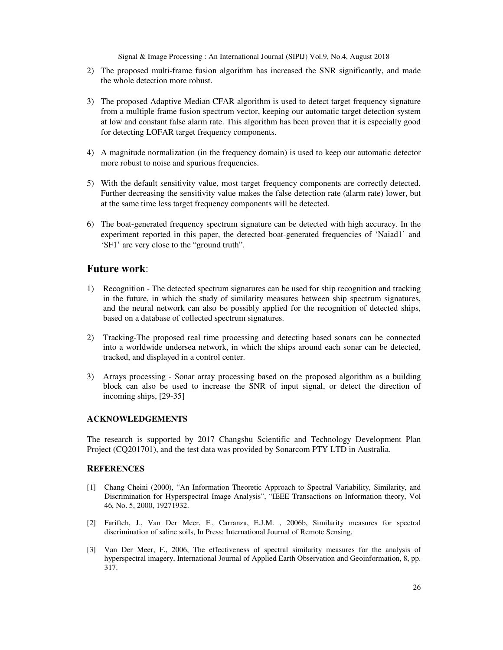- 2) The proposed multi-frame fusion algorithm has increased the SNR significantly, and made the whole detection more robust.
- 3) The proposed Adaptive Median CFAR algorithm is used to detect target frequency signature from a multiple frame fusion spectrum vector, keeping our automatic target detection system at low and constant false alarm rate. This algorithm has been proven that it is especially good for detecting LOFAR target frequency components.
- 4) A magnitude normalization (in the frequency domain) is used to keep our automatic detector more robust to noise and spurious frequencies.
- 5) With the default sensitivity value, most target frequency components are correctly detected. Further decreasing the sensitivity value makes the false detection rate (alarm rate) lower, but at the same time less target frequency components will be detected.
- 6) The boat-generated frequency spectrum signature can be detected with high accuracy. In the experiment reported in this paper, the detected boat-generated frequencies of 'Naiad1' and 'SF1' are very close to the "ground truth".

## **Future work**:

- 1) Recognition The detected spectrum signatures can be used for ship recognition and tracking in the future, in which the study of similarity measures between ship spectrum signatures, and the neural network can also be possibly applied for the recognition of detected ships, based on a database of collected spectrum signatures.
- 2) Tracking-The proposed real time processing and detecting based sonars can be connected into a worldwide undersea network, in which the ships around each sonar can be detected, tracked, and displayed in a control center.
- 3) Arrays processing Sonar array processing based on the proposed algorithm as a building block can also be used to increase the SNR of input signal, or detect the direction of incoming ships, [29-35]

#### **ACKNOWLEDGEMENTS**

The research is supported by 2017 Changshu Scientific and Technology Development Plan Project (CQ201701), and the test data was provided by Sonarcom PTY LTD in Australia.

#### **REFERENCES**

- [1] Chang Cheini (2000), "An Information Theoretic Approach to Spectral Variability, Similarity, and Discrimination for Hyperspectral Image Analysis", "IEEE Transactions on Information theory, Vol 46, No. 5, 2000, 19271932.
- [2] Farifteh, J., Van Der Meer, F., Carranza, E.J.M. , 2006b, Similarity measures for spectral discrimination of saline soils, In Press: International Journal of Remote Sensing.
- [3] Van Der Meer, F., 2006, The effectiveness of spectral similarity measures for the analysis of hyperspectral imagery, International Journal of Applied Earth Observation and Geoinformation, 8, pp. 317.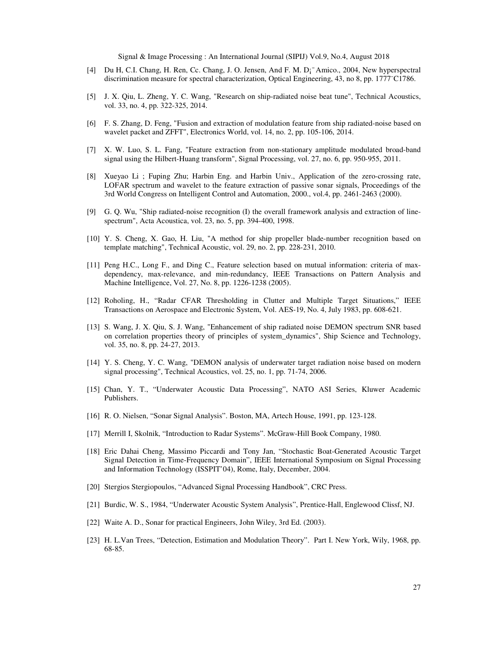- [4] Du H, C.I. Chang, H. Ren, Cc. Chang, J. O. Jensen, And F. M. D¡¯ Amico., 2004, New hyperspectral discrimination measure for spectral characterization, Optical Engineering, 43, no 8, pp. 1777 °C1786.
- [5] J. X. Qiu, L. Zheng, Y. C. Wang, "Research on ship-radiated noise beat tune", Technical Acoustics, vol. 33, no. 4, pp. 322-325, 2014.
- [6] F. S. Zhang, D. Feng, "Fusion and extraction of modulation feature from ship radiated-noise based on wavelet packet and ZFFT", Electronics World, vol. 14, no. 2, pp. 105-106, 2014.
- [7] X. W. Luo, S. L. Fang, "Feature extraction from non-stationary amplitude modulated broad-band signal using the Hilbert-Huang transform", Signal Processing, vol. 27, no. 6, pp. 950-955, 2011.
- [8] Xueyao Li ; Fuping Zhu; Harbin Eng. and Harbin Univ., Application of the zero-crossing rate, LOFAR spectrum and wavelet to the feature extraction of passive sonar signals, Proceedings of the 3rd World Congress on Intelligent Control and Automation, 2000., vol.4, pp. 2461-2463 (2000).
- [9] G. Q. Wu, "Ship radiated-noise recognition (I) the overall framework analysis and extraction of linespectrum", Acta Acoustica, vol. 23, no. 5, pp. 394-400, 1998.
- [10] Y. S. Cheng, X. Gao, H. Liu, "A method for ship propeller blade-number recognition based on template matching", TechnicaI Acoustic, vol. 29, no. 2, pp. 228-231, 2010.
- [11] Peng H.C., Long F., and Ding C., Feature selection based on mutual information: criteria of maxdependency, max-relevance, and min-redundancy, IEEE Transactions on Pattern Analysis and Machine Intelligence, Vol. 27, No. 8, pp. 1226-1238 (2005).
- [12] Roholing, H., "Radar CFAR Thresholding in Clutter and Multiple Target Situations," IEEE Transactions on Aerospace and Electronic System, Vol. AES-19, No. 4, July 1983, pp. 608-621.
- [13] S. Wang, J. X. Qiu, S. J. Wang, "Enhancement of ship radiated noise DEMON spectrum SNR based on correlation properties theory of principles of system\_dynamics", Ship Science and Technology, vol. 35, no. 8, pp. 24-27, 2013.
- [14] Y. S. Cheng, Y. C. Wang, "DEMON analysis of underwater target radiation noise based on modern signal processing", Technical Acoustics, vol. 25, no. 1, pp. 71-74, 2006.
- [15] Chan, Y. T., "Underwater Acoustic Data Processing", NATO ASI Series, Kluwer Academic Publishers.
- [16] R. O. Nielsen, "Sonar Signal Analysis". Boston, MA, Artech House, 1991, pp. 123-128.
- [17] Merrill I, Skolnik, "Introduction to Radar Systems". McGraw-Hill Book Company, 1980.
- [18] Eric Dahai Cheng, Massimo Piccardi and Tony Jan, "Stochastic Boat-Generated Acoustic Target Signal Detection in Time-Frequency Domain", IEEE International Symposium on Signal Processing and Information Technology (ISSPIT'04), Rome, Italy, December, 2004.
- [20] Stergios Stergiopoulos, "Advanced Signal Processing Handbook", CRC Press.
- [21] Burdic, W. S., 1984, "Underwater Acoustic System Analysis", Prentice-Hall, Englewood Clissf, NJ.
- [22] Waite A. D., Sonar for practical Engineers, John Wiley, 3rd Ed. (2003).
- [23] H. L.Van Trees, "Detection, Estimation and Modulation Theory". Part I. New York, Wily, 1968, pp. 68-85.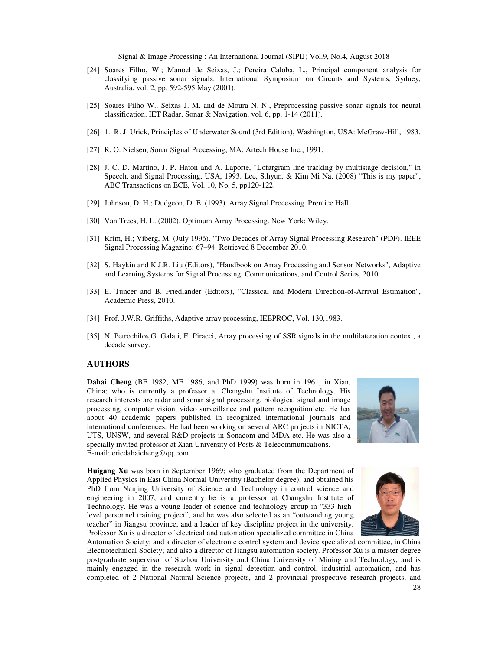- [24] Soares Filho, W.; Manoel de Seixas, J.; Pereira Caloba, L., Principal component analysis for classifying passive sonar signals. International Symposium on Circuits and Systems, Sydney, Australia, vol. 2, pp. 592-595 May (2001).
- [25] Soares Filho W., Seixas J. M. and de Moura N. N., Preprocessing passive sonar signals for neural classification. IET Radar, Sonar & Navigation, vol. 6, pp. 1-14 (2011).
- [26] 1. R. J. Urick, Principles of Underwater Sound (3rd Edition), Washington, USA: McGraw-Hill, 1983.
- [27] R. O. Nielsen, Sonar Signal Processing, MA: Artech House Inc., 1991.
- [28] J. C. D. Martino, J. P. Haton and A. Laporte, "Lofargram line tracking by multistage decision," in Speech, and Signal Processing, USA, 1993. Lee, S.hyun. & Kim Mi Na, (2008) "This is my paper", ABC Transactions on ECE, Vol. 10, No. 5, pp120-122.
- [29] Johnson, D. H.; Dudgeon, D. E. (1993). Array Signal Processing. Prentice Hall.
- [30] Van Trees, H. L. (2002). Optimum Array Processing. New York: Wiley.
- [31] Krim, H.; Viberg, M. (July 1996). "Two Decades of Array Signal Processing Research" (PDF). IEEE Signal Processing Magazine: 67–94. Retrieved 8 December 2010.
- [32] S. Haykin and K.J.R. Liu (Editors), "Handbook on Array Processing and Sensor Networks", Adaptive and Learning Systems for Signal Processing, Communications, and Control Series, 2010.
- [33] E. Tuncer and B. Friedlander (Editors), "Classical and Modern Direction-of-Arrival Estimation", Academic Press, 2010.
- [34] Prof. J.W.R. Griffiths, Adaptive array processing, IEEPROC, Vol. 130,1983.
- [35] N. Petrochilos,G. Galati, E. Piracci, Array processing of SSR signals in the multilateration context, a decade survey.

#### **AUTHORS**

**Dahai Cheng** (BE 1982, ME 1986, and PhD 1999) was born in 1961, in Xian, China; who is currently a professor at Changshu Institute of Technology. His research interests are radar and sonar signal processing, biological signal and image processing, computer vision, video surveillance and pattern recognition etc. He has about 40 academic papers published in recognized international journals and international conferences. He had been working on several ARC projects in NICTA, UTS, UNSW, and several R&D projects in Sonacom and MDA etc. He was also a specially invited professor at Xian University of Posts & Telecommunications. E-mail: ericdahaicheng@qq.com



**Huigang Xu** was born in September 1969; who graduated from the Department of Applied Physics in East China Normal University (Bachelor degree), and obtained his PhD from Nanjing University of Science and Technology in control science and engineering in 2007, and currently he is a professor at Changshu Institute of Technology. He was a young leader of science and technology group in "333 highlevel personnel training project", and he was also selected as an "outstanding young teacher" in Jiangsu province, and a leader of key discipline project in the university. Professor Xu is a director of electrical and automation specialized committee in China



Automation Society; and a director of electronic control system and device specialized committee, in China Electrotechnical Society; and also a director of Jiangsu automation society. Professor Xu is a master degree postgraduate supervisor of Suzhou University and China University of Mining and Technology, and is mainly engaged in the research work in signal detection and control, industrial automation, and has completed of 2 National Natural Science projects, and 2 provincial prospective research projects, and